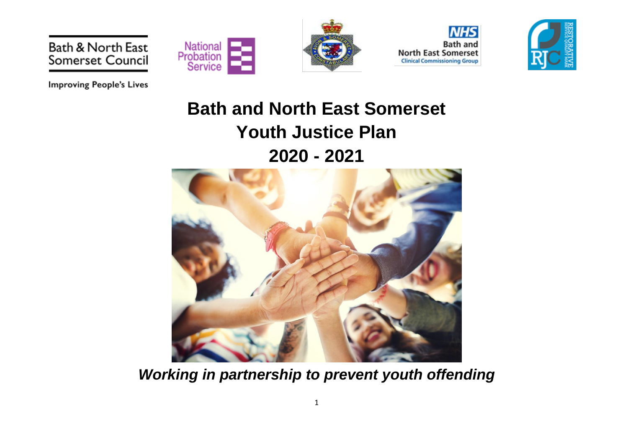



**Bath and North East Somerset Clinical Commissioning Group** 



**Improving People's Lives** 

Bath & North East

Somerset Council

# **Bath and North East Somerset Youth Justice Plan 2020 - 2021**



*Working in partnership to prevent youth offending*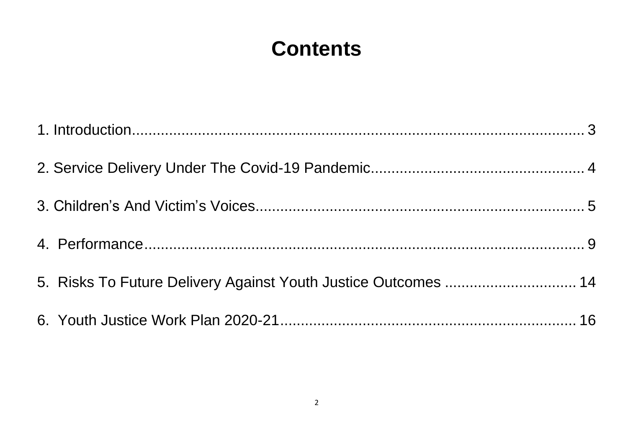# **Contents**

| 5. Risks To Future Delivery Against Youth Justice Outcomes  14 |  |
|----------------------------------------------------------------|--|
|                                                                |  |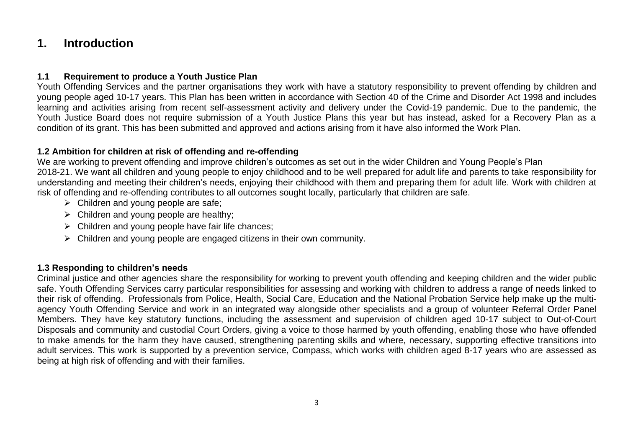## <span id="page-2-0"></span>**1. Introduction**

## **1.1 Requirement to produce a Youth Justice Plan**

Youth Offending Services and the partner organisations they work with have a statutory responsibility to prevent offending by children and young people aged 10-17 years. This Plan has been written in accordance with Section 40 of the Crime and Disorder Act 1998 and includes learning and activities arising from recent self-assessment activity and delivery under the Covid-19 pandemic. Due to the pandemic, the Youth Justice Board does not require submission of a Youth Justice Plans this year but has instead, asked for a Recovery Plan as a condition of its grant. This has been submitted and approved and actions arising from it have also informed the Work Plan.

## **1.2 Ambition for children at risk of offending and re-offending**

We are working to prevent offending and improve children's outcomes as set out in the wider Children and Young People's Plan 2018-21. We want all children and young people to enjoy childhood and to be well prepared for adult life and parents to take responsibility for understanding and meeting their children's needs, enjoying their childhood with them and preparing them for adult life. Work with children at risk of offending and re-offending contributes to all outcomes sought locally, particularly that children are safe.

- $\triangleright$  Children and young people are safe;
- $\triangleright$  Children and young people are healthy;
- $\triangleright$  Children and young people have fair life chances;
- ➢ Children and young people are engaged citizens in their own community.

## **1.3 Responding to children's needs**

Criminal justice and other agencies share the responsibility for working to prevent youth offending and keeping children and the wider public safe. Youth Offending Services carry particular responsibilities for assessing and working with children to address a range of needs linked to their risk of offending. Professionals from Police, Health, Social Care, Education and the National Probation Service help make up the multiagency Youth Offending Service and work in an integrated way alongside other specialists and a group of volunteer Referral Order Panel Members. They have key statutory functions, including the assessment and supervision of children aged 10-17 subject to Out-of-Court Disposals and community and custodial Court Orders, giving a voice to those harmed by youth offending, enabling those who have offended to make amends for the harm they have caused, strengthening parenting skills and where, necessary, supporting effective transitions into adult services. This work is supported by a prevention service, Compass, which works with children aged 8-17 years who are assessed as being at high risk of offending and with their families.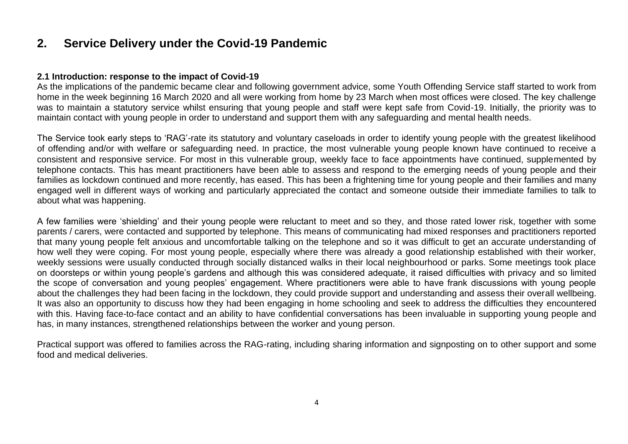## <span id="page-3-0"></span>**2. Service Delivery under the Covid-19 Pandemic**

#### **2.1 Introduction: response to the impact of Covid-19**

As the implications of the pandemic became clear and following government advice, some Youth Offending Service staff started to work from home in the week beginning 16 March 2020 and all were working from home by 23 March when most offices were closed. The key challenge was to maintain a statutory service whilst ensuring that young people and staff were kept safe from Covid-19. Initially, the priority was to maintain contact with young people in order to understand and support them with any safeguarding and mental health needs.

The Service took early steps to 'RAG'-rate its statutory and voluntary caseloads in order to identify young people with the greatest likelihood of offending and/or with welfare or safeguarding need. In practice, the most vulnerable young people known have continued to receive a consistent and responsive service. For most in this vulnerable group, weekly face to face appointments have continued, supplemented by telephone contacts. This has meant practitioners have been able to assess and respond to the emerging needs of young people and their families as lockdown continued and more recently, has eased. This has been a frightening time for young people and their families and many engaged well in different ways of working and particularly appreciated the contact and someone outside their immediate families to talk to about what was happening.

A few families were 'shielding' and their young people were reluctant to meet and so they, and those rated lower risk, together with some parents / carers, were contacted and supported by telephone. This means of communicating had mixed responses and practitioners reported that many young people felt anxious and uncomfortable talking on the telephone and so it was difficult to get an accurate understanding of how well they were coping. For most young people, especially where there was already a good relationship established with their worker, weekly sessions were usually conducted through socially distanced walks in their local neighbourhood or parks. Some meetings took place on doorsteps or within young people's gardens and although this was considered adequate, it raised difficulties with privacy and so limited the scope of conversation and young peoples' engagement. Where practitioners were able to have frank discussions with young people about the challenges they had been facing in the lockdown, they could provide support and understanding and assess their overall wellbeing. It was also an opportunity to discuss how they had been engaging in home schooling and seek to address the difficulties they encountered with this. Having face-to-face contact and an ability to have confidential conversations has been invaluable in supporting young people and has, in many instances, strengthened relationships between the worker and young person.

Practical support was offered to families across the RAG-rating, including sharing information and signposting on to other support and some food and medical deliveries.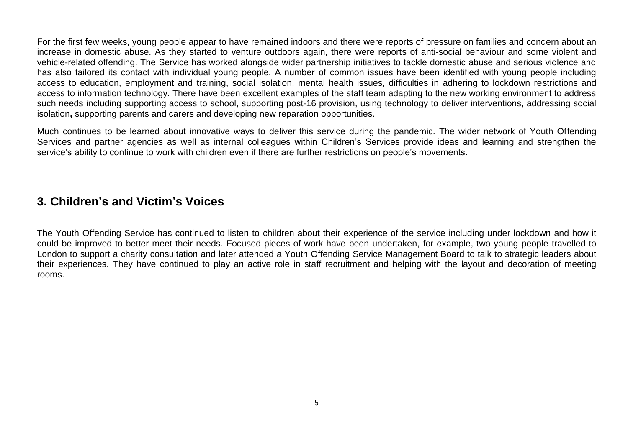For the first few weeks, young people appear to have remained indoors and there were reports of pressure on families and concern about an increase in domestic abuse. As they started to venture outdoors again, there were reports of anti-social behaviour and some violent and vehicle-related offending. The Service has worked alongside wider partnership initiatives to tackle domestic abuse and serious violence and has also tailored its contact with individual young people. A number of common issues have been identified with young people including access to education, employment and training, social isolation, mental health issues, difficulties in adhering to lockdown restrictions and access to information technology. There have been excellent examples of the staff team adapting to the new working environment to address such needs including supporting access to school, supporting post-16 provision, using technology to deliver interventions, addressing social isolation**,** supporting parents and carers and developing new reparation opportunities.

Much continues to be learned about innovative ways to deliver this service during the pandemic. The wider network of Youth Offending Services and partner agencies as well as internal colleagues within Children's Services provide ideas and learning and strengthen the service's ability to continue to work with children even if there are further restrictions on people's movements.

## <span id="page-4-0"></span>**3. Children's and Victim's Voices**

The Youth Offending Service has continued to listen to children about their experience of the service including under lockdown and how it could be improved to better meet their needs. Focused pieces of work have been undertaken, for example, two young people travelled to London to support a charity consultation and later attended a Youth Offending Service Management Board to talk to strategic leaders about their experiences. They have continued to play an active role in staff recruitment and helping with the layout and decoration of meeting rooms.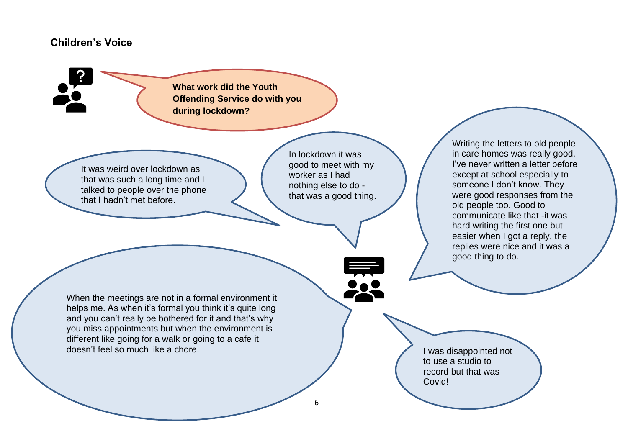## **Children's Voice**

**What work did the Youth Offending Service do with you during lockdown?**

It was weird over lockdown as that was such a long time and I talked to people over the phone that I hadn't met before.

In lockdown it was good to meet with my worker as I had nothing else to do that was a good thing.

When the meetings are not in a formal environment it helps me. As when it's formal you think it's quite long and you can't really be bothered for it and that's why you miss appointments but when the environment is different like going for a walk or going to a cafe it doesn't feel so much like a chore.

Writing the letters to old people in care homes was really good. I've never written a letter before except at school especially to someone I don't know. They were good responses from the old people too. Good to communicate like that -it was hard writing the first one but easier when I got a reply, the replies were nice and it was a good thing to do.

I was disappointed not to use a studio to record but that was Covid!

6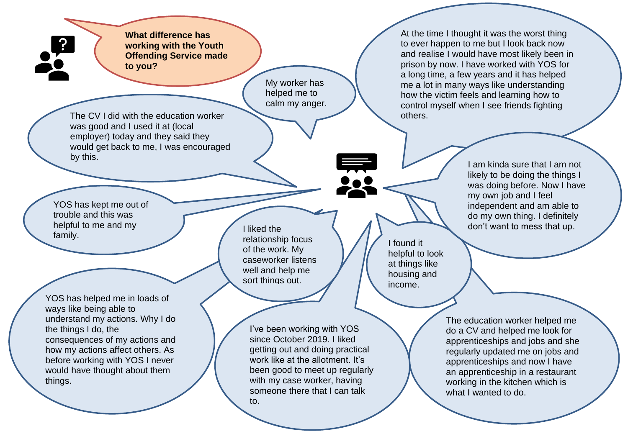**What difference has working with the Youth Offending Service made to you?**

> My worker has helped me to calm my anger.

The CV I did with the education worker was good and I used it at (local employer) today and they said they would get back to me, I was encouraged by this.

YOS has kept me out of trouble and this was helpful to me and my family.

YOS has helped me in loads of ways like being able to understand my actions. Why I do the things I do, the consequences of my actions and how my actions affect others. As before working with YOS I never would have thought about them things.

I liked the relationship focus of the work. My caseworker listens well and help me sort things out.

I've been working with YOS since October 2019. I liked getting out and doing practical work like at the allotment. It's been good to meet up regularly with my case worker, having someone there that I can talk to.

At the time I thought it was the worst thing to ever happen to me but I look back now and realise I would have most likely been in prison by now. I have worked with YOS for a long time, a few years and it has helped me a lot in many ways like understanding how the victim feels and learning how to control myself when I see friends fighting others.

I found it helpful to look at things like housing and income.

I am kinda sure that I am not likely to be doing the things I was doing before. Now I have my own job and I feel independent and am able to do my own thing. I definitely don't want to mess that up.

The education worker helped me do a CV and helped me look for apprenticeships and jobs and she regularly updated me on jobs and apprenticeships and now I have an apprenticeship in a restaurant working in the kitchen which is what I wanted to do.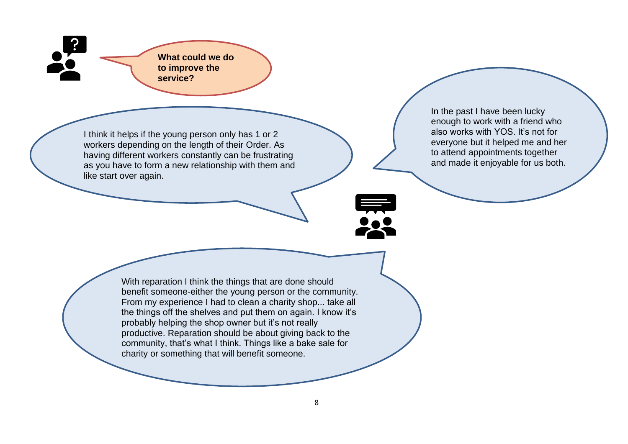**What could we do to improve the service?**

I think it helps if the young person only has 1 or 2 workers depending on the length of their Order. As having different workers constantly can be frustrating as you have to form a new relationship with them and like start over again.

In the past I have been lucky enough to work with a friend who also works with YOS. It's not for everyone but it helped me and her to attend appointments together and made it enjoyable for us both.

With reparation I think the things that are done should benefit someone-either the young person or the community. From my experience I had to clean a charity shop... take all the things off the shelves and put them on again. I know it's probably helping the shop owner but it's not really productive. Reparation should be about giving back to the community, that's what I think. Things like a bake sale for charity or something that will benefit someone.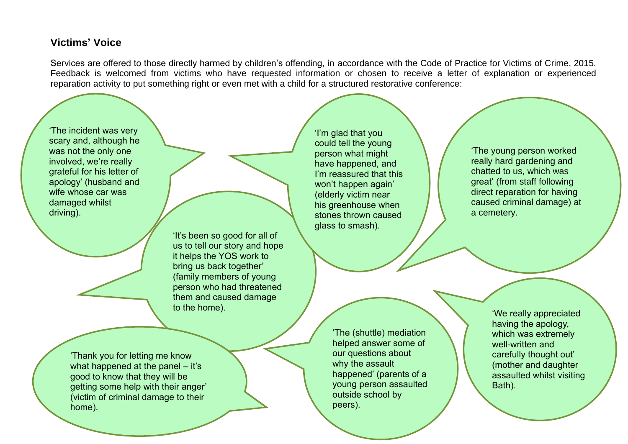## **Victims' Voice**

Services are offered to those directly harmed by children's offending, in accordance with the Code of Practice for Victims of Crime, 2015. Feedback is welcomed from victims who have requested information or chosen to receive a letter of explanation or experienced reparation activity to put something right or even met with a child for a structured restorative conference:

<span id="page-8-0"></span>'The incident was very scary and, although he was not the only one involved, we're really grateful for his letter of apology' (husband and wife whose car was damaged whilst driving). 'It's been so good for all of us to tell our story and hope it helps the YOS work to bring us back together' (family members of young person who had threatened them and caused damage to the home). 'I'm glad that you could tell the young person what might have happened, and I'm reassured that this won't happen again' (elderly victim near his greenhouse when stones thrown caused glass to smash). 'The (shuttle) mediation helped answer some of our questions about why the assault happened' (parents of a young person assaulted 'Thank you for letting me know what happened at the panel – it's good to know that they will be 'We really appreciated having the apology, which was extremely well-written and carefully thought out' (mother and daughter assaulted whilst visiting Bath). 'The young person worked really hard gardening and chatted to us, which was great' (from staff following direct reparation for having caused criminal damage) at a cemetery.

 $\mathbf{r}$ 

outside school by

peers).

getting some help with their anger' (victim of criminal damage to their home).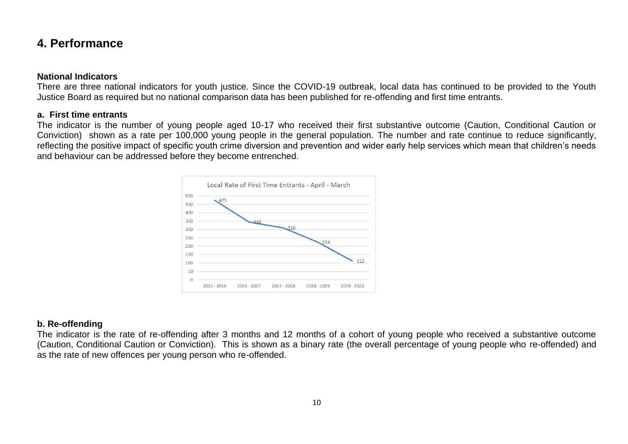## **4. Performance**

#### **National Indicators**

There are three national indicators for youth justice. Since the COVID-19 outbreak, local data has continued to be provided to the Youth Justice Board as required but no national comparison data has been published for re-offending and first time entrants.

#### **a. First time entrants**

The indicator is the number of young people aged 10-17 who received their first substantive outcome (Caution, Conditional Caution or Conviction) shown as a rate per 100,000 young people in the general population. The number and rate continue to reduce significantly, reflecting the positive impact of specific youth crime diversion and prevention and wider early help services which mean that children's needs and behaviour can be addressed before they become entrenched.



## **b. Re-offending**

The indicator is the rate of re-offending after 3 months and 12 months of a cohort of young people who received a substantive outcome (Caution, Conditional Caution or Conviction). This is shown as a binary rate (the overall percentage of young people who re-offended) and as the rate of new offences per young person who re-offended.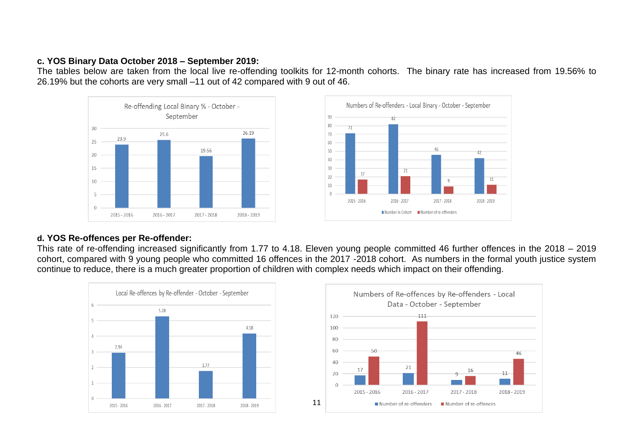### **c. YOS Binary Data October 2018 – September 2019:**

The tables below are taken from the local live re-offending toolkits for 12-month cohorts. The binary rate has increased from 19.56% to 26.19% but the cohorts are very small –11 out of 42 compared with 9 out of 46.





## **d. YOS Re-offences per Re-offender:**

This rate of re-offending increased significantly from 1.77 to 4.18. Eleven young people committed 46 further offences in the 2018 – 2019 cohort, compared with 9 young people who committed 16 offences in the 2017 -2018 cohort. As numbers in the formal youth justice system continue to reduce, there is a much greater proportion of children with complex needs which impact on their offending.



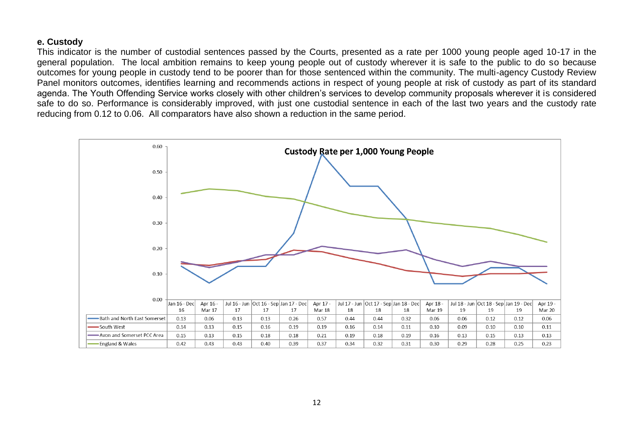#### **e. Custody**

This indicator is the number of custodial sentences passed by the Courts, presented as a rate per 1000 young people aged 10-17 in the general population. The local ambition remains to keep young people out of custody wherever it is safe to the public to do so because outcomes for young people in custody tend to be poorer than for those sentenced within the community. The multi-agency Custody Review Panel monitors outcomes, identifies learning and recommends actions in respect of young people at risk of custody as part of its standard agenda. The Youth Offending Service works closely with other children's services to develop community proposals wherever it is considered safe to do so. Performance is considerably improved, with just one custodial sentence in each of the last two years and the custody rate reducing from 0.12 to 0.06. All comparators have also shown a reduction in the same period.

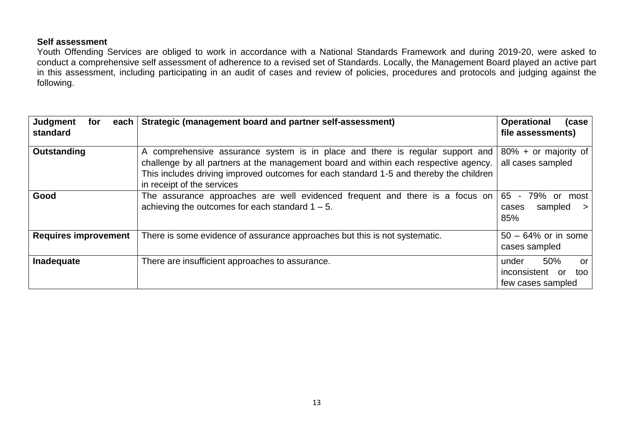### **Self assessment**

Youth Offending Services are obliged to work in accordance with a National Standards Framework and during 2019-20, were asked to conduct a comprehensive self assessment of adherence to a revised set of Standards. Locally, the Management Board played an active part in this assessment, including participating in an audit of cases and review of policies, procedures and protocols and judging against the following.

| Judgment<br>each<br>for<br>standard | Strategic (management board and partner self-assessment)                                                                                                                                                                                                                                      | <b>Operational</b><br>(case)<br>file assessments)                 |
|-------------------------------------|-----------------------------------------------------------------------------------------------------------------------------------------------------------------------------------------------------------------------------------------------------------------------------------------------|-------------------------------------------------------------------|
| Outstanding                         | A comprehensive assurance system is in place and there is regular support and<br>challenge by all partners at the management board and within each respective agency.<br>This includes driving improved outcomes for each standard 1-5 and thereby the children<br>in receipt of the services | $80\% + or$ majority of<br>all cases sampled                      |
| Good                                | The assurance approaches are well evidenced frequent and there is a focus on<br>achieving the outcomes for each standard $1 - 5$ .                                                                                                                                                            | 65<br>79% or most<br>$\sim$<br>sampled<br>cases<br>$\geq$<br>85%  |
| <b>Requires improvement</b>         | There is some evidence of assurance approaches but this is not systematic.                                                                                                                                                                                                                    | $50 - 64\%$ or in some<br>cases sampled                           |
| Inadequate                          | There are insufficient approaches to assurance.                                                                                                                                                                                                                                               | 50%<br>under<br>or<br>inconsistent or<br>too<br>few cases sampled |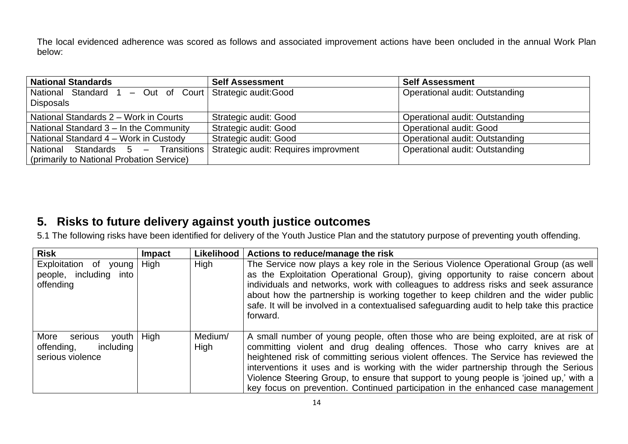The local evidenced adherence was scored as follows and associated improvement actions have been oncluded in the annual Work Plan below:

| <b>National Standards</b>                                                    | <b>Self Assessment</b>               | <b>Self Assessment</b>                |
|------------------------------------------------------------------------------|--------------------------------------|---------------------------------------|
| National Standard 1 - Out of Court Strategic audit: Good<br><b>Disposals</b> |                                      | <b>Operational audit: Outstanding</b> |
| National Standards 2 - Work in Courts                                        | Strategic audit: Good                | Operational audit: Outstanding        |
| National Standard 3 - In the Community                                       | Strategic audit: Good                | <b>Operational audit: Good</b>        |
| National Standard 4 – Work in Custody                                        | Strategic audit: Good                | <b>Operational audit: Outstanding</b> |
| National Standards 5 - Transitions                                           | Strategic audit: Requires improvment | Operational audit: Outstanding        |
| (primarily to National Probation Service)                                    |                                      |                                       |

## <span id="page-13-0"></span>**5. Risks to future delivery against youth justice outcomes**

5.1 The following risks have been identified for delivery of the Youth Justice Plan and the statutory purpose of preventing youth offending.

| <b>Risk</b>                                                             | <b>Impact</b> |                 | Likelihood   Actions to reduce/manage the risk                                                                                                                                                                                                                                                                                                                                                                                                                                                                                  |
|-------------------------------------------------------------------------|---------------|-----------------|---------------------------------------------------------------------------------------------------------------------------------------------------------------------------------------------------------------------------------------------------------------------------------------------------------------------------------------------------------------------------------------------------------------------------------------------------------------------------------------------------------------------------------|
| Exploitation of young<br>people, including into<br>offending            | High          | High            | The Service now plays a key role in the Serious Violence Operational Group (as well<br>as the Exploitation Operational Group), giving opportunity to raise concern about<br>individuals and networks, work with colleagues to address risks and seek assurance<br>about how the partnership is working together to keep children and the wider public<br>safe. It will be involved in a contextualised safeguarding audit to help take this practice<br>forward.                                                                |
| More<br>serious<br>youth<br>offending,<br>including<br>serious violence | High          | Medium/<br>High | A small number of young people, often those who are being exploited, are at risk of<br>committing violent and drug dealing offences. Those who carry knives are at<br>heightened risk of committing serious violent offences. The Service has reviewed the<br>interventions it uses and is working with the wider partnership through the Serious<br>Violence Steering Group, to ensure that support to young people is 'joined up,' with a<br>key focus on prevention. Continued participation in the enhanced case management |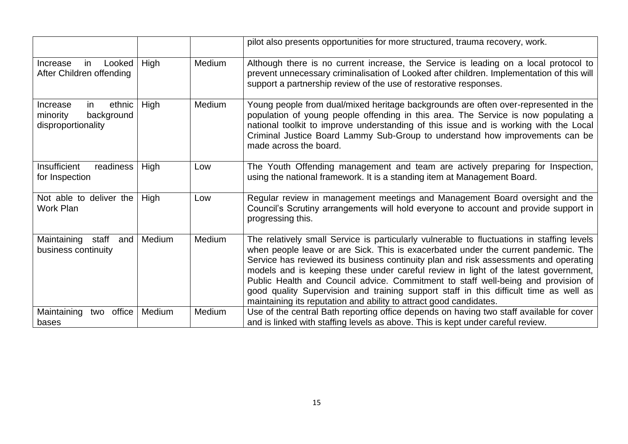|                                                                          |        |        | pilot also presents opportunities for more structured, trauma recovery, work.                                                                                                                                                                                                                                                                                                                                                                                                                                                                                                                                       |
|--------------------------------------------------------------------------|--------|--------|---------------------------------------------------------------------------------------------------------------------------------------------------------------------------------------------------------------------------------------------------------------------------------------------------------------------------------------------------------------------------------------------------------------------------------------------------------------------------------------------------------------------------------------------------------------------------------------------------------------------|
| Looked<br>in<br>Increase<br>After Children offending                     | High   | Medium | Although there is no current increase, the Service is leading on a local protocol to<br>prevent unnecessary criminalisation of Looked after children. Implementation of this will<br>support a partnership review of the use of restorative responses.                                                                                                                                                                                                                                                                                                                                                              |
| ethnic<br>Increase<br>in<br>background<br>minority<br>disproportionality | High   | Medium | Young people from dual/mixed heritage backgrounds are often over-represented in the<br>population of young people offending in this area. The Service is now populating a<br>national toolkit to improve understanding of this issue and is working with the Local<br>Criminal Justice Board Lammy Sub-Group to understand how improvements can be<br>made across the board.                                                                                                                                                                                                                                        |
| Insufficient<br>readiness  <br>for Inspection                            | High   | Low    | The Youth Offending management and team are actively preparing for Inspection,<br>using the national framework. It is a standing item at Management Board.                                                                                                                                                                                                                                                                                                                                                                                                                                                          |
| Not able to deliver the<br><b>Work Plan</b>                              | High   | Low    | Regular review in management meetings and Management Board oversight and the<br>Council's Scrutiny arrangements will hold everyone to account and provide support in<br>progressing this.                                                                                                                                                                                                                                                                                                                                                                                                                           |
| Maintaining<br>staff<br>and<br>business continuity                       | Medium | Medium | The relatively small Service is particularly vulnerable to fluctuations in staffing levels<br>when people leave or are Sick. This is exacerbated under the current pandemic. The<br>Service has reviewed its business continuity plan and risk assessments and operating<br>models and is keeping these under careful review in light of the latest government,<br>Public Health and Council advice. Commitment to staff well-being and provision of<br>good quality Supervision and training support staff in this difficult time as well as<br>maintaining its reputation and ability to attract good candidates. |
| Maintaining<br>office<br>two<br>bases                                    | Medium | Medium | Use of the central Bath reporting office depends on having two staff available for cover<br>and is linked with staffing levels as above. This is kept under careful review.                                                                                                                                                                                                                                                                                                                                                                                                                                         |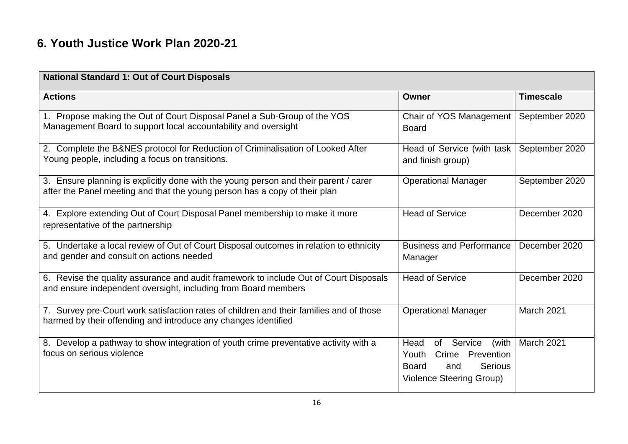## <span id="page-15-0"></span>**6. Youth Justice Work Plan 2020-21**

| <b>National Standard 1: Out of Court Disposals</b>                                                                                                                 |                                                                                                                                     |                  |  |  |
|--------------------------------------------------------------------------------------------------------------------------------------------------------------------|-------------------------------------------------------------------------------------------------------------------------------------|------------------|--|--|
| <b>Actions</b>                                                                                                                                                     | <b>Owner</b>                                                                                                                        | <b>Timescale</b> |  |  |
| 1. Propose making the Out of Court Disposal Panel a Sub-Group of the YOS<br>Management Board to support local accountability and oversight                         | Chair of YOS Management<br><b>Board</b>                                                                                             | September 2020   |  |  |
| 2. Complete the B&NES protocol for Reduction of Criminalisation of Looked After<br>Young people, including a focus on transitions.                                 | Head of Service (with task<br>and finish group)                                                                                     | September 2020   |  |  |
| 3. Ensure planning is explicitly done with the young person and their parent / carer<br>after the Panel meeting and that the young person has a copy of their plan | <b>Operational Manager</b>                                                                                                          | September 2020   |  |  |
| 4. Explore extending Out of Court Disposal Panel membership to make it more<br>representative of the partnership                                                   | <b>Head of Service</b>                                                                                                              | December 2020    |  |  |
| 5. Undertake a local review of Out of Court Disposal outcomes in relation to ethnicity<br>and gender and consult on actions needed                                 | <b>Business and Performance</b><br>Manager                                                                                          | December 2020    |  |  |
| 6. Revise the quality assurance and audit framework to include Out of Court Disposals<br>and ensure independent oversight, including from Board members            | <b>Head of Service</b>                                                                                                              | December 2020    |  |  |
| 7. Survey pre-Court work satisfaction rates of children and their families and of those<br>harmed by their offending and introduce any changes identified          | <b>Operational Manager</b>                                                                                                          | March 2021       |  |  |
| 8. Develop a pathway to show integration of youth crime preventative activity with a<br>focus on serious violence                                                  | Head<br>Service<br>(with<br>of<br>Prevention<br>Youth<br>Crime<br>Serious<br><b>Board</b><br>and<br><b>Violence Steering Group)</b> | March 2021       |  |  |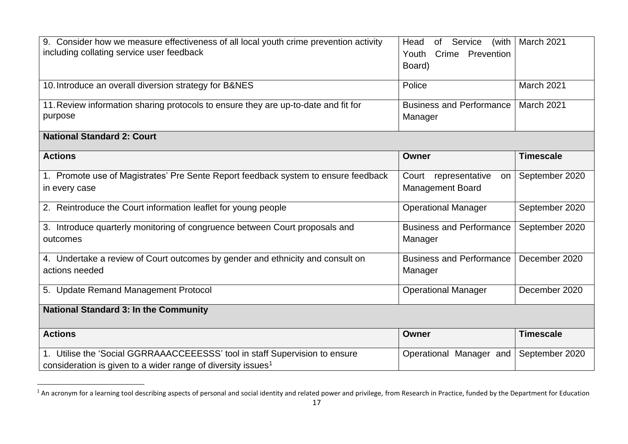| 9. Consider how we measure effectiveness of all local youth crime prevention activity<br>including collating service user feedback                      | of Service<br>Head<br>(with $ $<br>Youth<br>Crime<br>Prevention<br>Board) | March 2021       |  |  |
|---------------------------------------------------------------------------------------------------------------------------------------------------------|---------------------------------------------------------------------------|------------------|--|--|
| 10. Introduce an overall diversion strategy for B&NES                                                                                                   | Police                                                                    | March 2021       |  |  |
| 11. Review information sharing protocols to ensure they are up-to-date and fit for<br>purpose                                                           | <b>Business and Performance</b><br>Manager                                | March 2021       |  |  |
| <b>National Standard 2: Court</b>                                                                                                                       |                                                                           |                  |  |  |
| <b>Actions</b>                                                                                                                                          | Owner                                                                     | <b>Timescale</b> |  |  |
| 1. Promote use of Magistrates' Pre Sente Report feedback system to ensure feedback<br>in every case                                                     | Court representative<br>on<br><b>Management Board</b>                     | September 2020   |  |  |
| 2. Reintroduce the Court information leaflet for young people                                                                                           | <b>Operational Manager</b>                                                | September 2020   |  |  |
| 3. Introduce quarterly monitoring of congruence between Court proposals and<br>outcomes                                                                 | <b>Business and Performance</b><br>Manager                                | September 2020   |  |  |
| 4. Undertake a review of Court outcomes by gender and ethnicity and consult on<br>actions needed                                                        | <b>Business and Performance</b><br>Manager                                | December 2020    |  |  |
| 5. Update Remand Management Protocol                                                                                                                    | <b>Operational Manager</b>                                                | December 2020    |  |  |
| <b>National Standard 3: In the Community</b>                                                                                                            |                                                                           |                  |  |  |
| <b>Actions</b>                                                                                                                                          | Owner                                                                     | <b>Timescale</b> |  |  |
| 1. Utilise the 'Social GGRRAAACCEEESSS' tool in staff Supervision to ensure<br>consideration is given to a wider range of diversity issues <sup>1</sup> | Operational Manager and                                                   | September 2020   |  |  |

 $^1$  An acronym for a learning tool describing aspects of personal and social identity and related power and privilege, from Research in Practice, funded by the Department for Education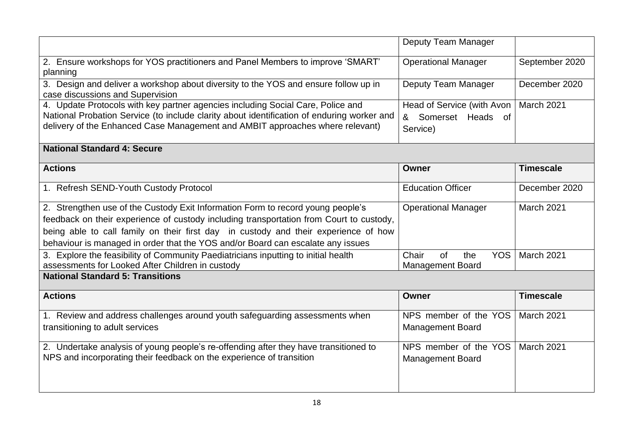|                                                                                                                                                                                                                                                                                                                                                      | Deputy Team Manager                                           |                  |
|------------------------------------------------------------------------------------------------------------------------------------------------------------------------------------------------------------------------------------------------------------------------------------------------------------------------------------------------------|---------------------------------------------------------------|------------------|
| 2. Ensure workshops for YOS practitioners and Panel Members to improve 'SMART'<br>planning                                                                                                                                                                                                                                                           | <b>Operational Manager</b>                                    | September 2020   |
| 3. Design and deliver a workshop about diversity to the YOS and ensure follow up in<br>case discussions and Supervision                                                                                                                                                                                                                              | Deputy Team Manager                                           | December 2020    |
| 4. Update Protocols with key partner agencies including Social Care, Police and<br>National Probation Service (to include clarity about identification of enduring worker and<br>delivery of the Enhanced Case Management and AMBIT approaches where relevant)                                                                                       | Head of Service (with Avon<br>& Somerset Heads of<br>Service) | March 2021       |
| <b>National Standard 4: Secure</b>                                                                                                                                                                                                                                                                                                                   |                                                               |                  |
| <b>Actions</b>                                                                                                                                                                                                                                                                                                                                       | Owner                                                         | <b>Timescale</b> |
| 1. Refresh SEND-Youth Custody Protocol                                                                                                                                                                                                                                                                                                               | <b>Education Officer</b>                                      | December 2020    |
| 2. Strengthen use of the Custody Exit Information Form to record young people's<br>feedback on their experience of custody including transportation from Court to custody,<br>being able to call family on their first day in custody and their experience of how<br>behaviour is managed in order that the YOS and/or Board can escalate any issues | <b>Operational Manager</b>                                    | March 2021       |
| 3. Explore the feasibility of Community Paediatricians inputting to initial health<br>assessments for Looked After Children in custody                                                                                                                                                                                                               | of<br>the<br><b>YOS</b><br>Chair<br><b>Management Board</b>   | March 2021       |
| <b>National Standard 5: Transitions</b>                                                                                                                                                                                                                                                                                                              |                                                               |                  |
| <b>Actions</b>                                                                                                                                                                                                                                                                                                                                       | Owner                                                         | <b>Timescale</b> |
| 1. Review and address challenges around youth safeguarding assessments when<br>transitioning to adult services                                                                                                                                                                                                                                       | NPS member of the YOS<br><b>Management Board</b>              | March 2021       |
| 2. Undertake analysis of young people's re-offending after they have transitioned to<br>NPS and incorporating their feedback on the experience of transition                                                                                                                                                                                         | NPS member of the YOS<br><b>Management Board</b>              | March 2021       |